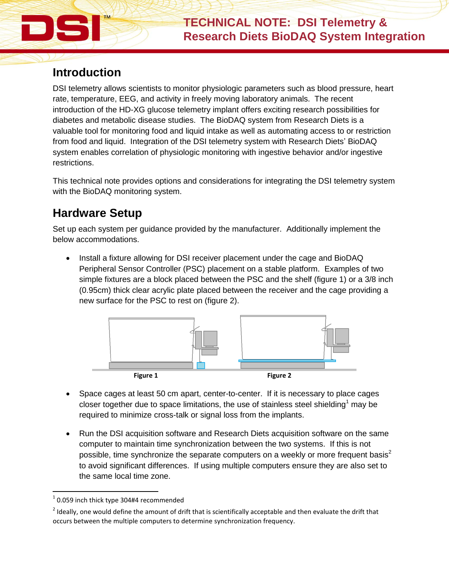### **Introduction**

DSI telemetry allows scientists to monitor physiologic parameters such as blood pressure, heart rate, temperature, EEG, and activity in freely moving laboratory animals. The recent introduction of the HD-XG glucose telemetry implant offers exciting research possibilities for diabetes and metabolic disease studies. The BioDAQ system from Research Diets is a valuable tool for monitoring food and liquid intake as well as automating access to or restriction from food and liquid. Integration of the DSI telemetry system with Research Diets' BioDAQ system enables correlation of physiologic monitoring with ingestive behavior and/or ingestive restrictions.

This technical note provides options and considerations for integrating the DSI telemetry system with the BioDAQ monitoring system.

### **Hardware Setup**

Set up each system per guidance provided by the manufacturer. Additionally implement the below accommodations.

 Install a fixture allowing for DSI receiver placement under the cage and BioDAQ Peripheral Sensor Controller (PSC) placement on a stable platform. Examples of two simple fixtures are a block placed between the PSC and the shelf (figure 1) or a 3/8 inch (0.95cm) thick clear acrylic plate placed between the receiver and the cage providing a new surface for the PSC to rest on (figure 2).



- Space cages at least 50 cm apart, center-to-center. If it is necessary to place cages closer together due to space limitations, the use of stainless steel shielding<sup>1</sup> may be required to minimize cross-talk or signal loss from the implants.
- Run the DSI acquisition software and Research Diets acquisition software on the same computer to maintain time synchronization between the two systems. If this is not possible, time synchronize the separate computers on a weekly or more frequent basis<sup>2</sup> to avoid significant differences. If using multiple computers ensure they are also set to the same local time zone.

l

 $^{1}$  0.059 inch thick type 304#4 recommended

 $2$  Ideally, one would define the amount of drift that is scientifically acceptable and then evaluate the drift that occurs between the multiple computers to determine synchronization frequency.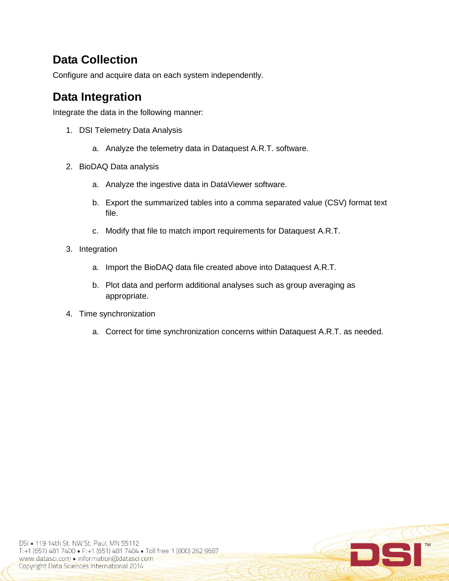# **Data Collection**

Configure and acquire data on each system independently.

# **Data Integration**

Integrate the data in the following manner:

- 1. DSI Telemetry Data Analysis
	- a. Analyze the telemetry data in Dataquest A.R.T. software.
- 2. BioDAQ Data analysis
	- a. Analyze the ingestive data in DataViewer software.
	- b. Export the summarized tables into a comma separated value (CSV) format text file.
	- c. Modify that file to match import requirements for Dataquest A.R.T.
- 3. Integration
	- a. Import the BioDAQ data file created above into Dataquest A.R.T.
	- b. Plot data and perform additional analyses such as group averaging as appropriate.
- 4. Time synchronization
	- a. Correct for time synchronization concerns within Dataquest A.R.T. as needed.

DC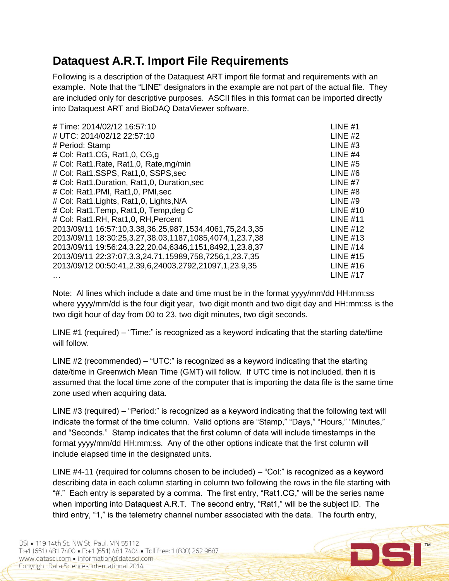#### **Dataquest A.R.T. Import File Requirements**

Following is a description of the Dataquest ART import file format and requirements with an example. Note that the "LINE" designators in the example are not part of the actual file. They are included only for descriptive purposes. ASCII files in this format can be imported directly into Dataquest ART and BioDAQ DataViewer software.

| LINE $#1$       |
|-----------------|
| LINE $#2$       |
| LINE $#3$       |
| LINE $#4$       |
| LINE $#5$       |
| LINE $#6$       |
| LINE $#7$       |
| LINE $#8$       |
| LINE $#9$       |
| LINE $#10$      |
| LINE $#11$      |
| LINE $#12$      |
| LINE $#13$      |
| <b>LINE #14</b> |
| LINE $#15$      |
| LINE $#16$      |
| LINE $#17$      |
|                 |

Note: Al lines which include a date and time must be in the format yyyy/mm/dd HH:mm:ss where yyyy/mm/dd is the four digit year, two digit month and two digit day and HH:mm:ss is the two digit hour of day from 00 to 23, two digit minutes, two digit seconds.

LINE #1 (required) – "Time:" is recognized as a keyword indicating that the starting date/time will follow.

LINE  $#2$  (recommended) – "UTC:" is recognized as a keyword indicating that the starting date/time in Greenwich Mean Time (GMT) will follow. If UTC time is not included, then it is assumed that the local time zone of the computer that is importing the data file is the same time zone used when acquiring data.

LINE #3 (required) – "Period:" is recognized as a keyword indicating that the following text will indicate the format of the time column. Valid options are "Stamp," "Days," "Hours," "Minutes," and "Seconds." Stamp indicates that the first column of data will include timestamps in the format yyyy/mm/dd HH:mm:ss. Any of the other options indicate that the first column will include elapsed time in the designated units.

LINE #4-11 (required for columns chosen to be included) – "Col:" is recognized as a keyword describing data in each column starting in column two following the rows in the file starting with "#." Each entry is separated by a comma. The first entry, "Rat1.CG," will be the series name when importing into Dataquest A.R.T. The second entry, "Rat1," will be the subject ID. The third entry, "1," is the telemetry channel number associated with the data. The fourth entry,